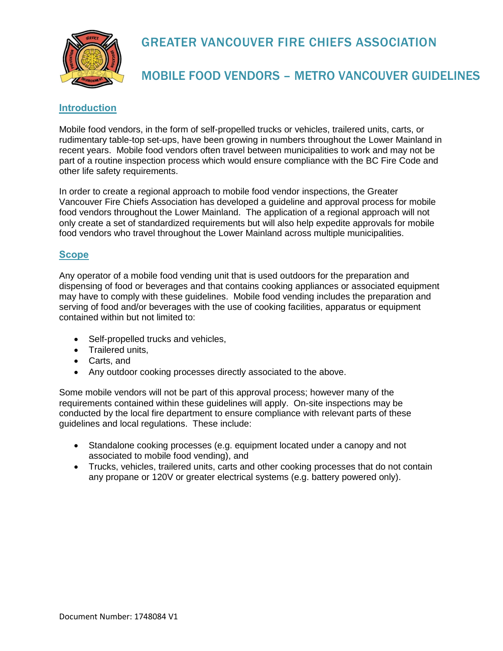

# GREATER VANCOUVER FIRE CHIEFS ASSOCIATION

### MOBILE FOOD VENDORS – METRO VANCOUVER GUIDELINES

### **Introduction**

Mobile food vendors, in the form of self-propelled trucks or vehicles, trailered units, carts, or rudimentary table-top set-ups, have been growing in numbers throughout the Lower Mainland in recent years. Mobile food vendors often travel between municipalities to work and may not be part of a routine inspection process which would ensure compliance with the BC Fire Code and other life safety requirements.

In order to create a regional approach to mobile food vendor inspections, the Greater Vancouver Fire Chiefs Association has developed a guideline and approval process for mobile food vendors throughout the Lower Mainland. The application of a regional approach will not only create a set of standardized requirements but will also help expedite approvals for mobile food vendors who travel throughout the Lower Mainland across multiple municipalities.

#### **Scope**

Any operator of a mobile food vending unit that is used outdoors for the preparation and dispensing of food or beverages and that contains cooking appliances or associated equipment may have to comply with these guidelines. Mobile food vending includes the preparation and serving of food and/or beverages with the use of cooking facilities, apparatus or equipment contained within but not limited to:

- Self-propelled trucks and vehicles,
- Trailered units,
- Carts, and
- Any outdoor cooking processes directly associated to the above.

Some mobile vendors will not be part of this approval process; however many of the requirements contained within these guidelines will apply. On-site inspections may be conducted by the local fire department to ensure compliance with relevant parts of these guidelines and local regulations. These include:

- Standalone cooking processes (e.g. equipment located under a canopy and not associated to mobile food vending), and
- Trucks, vehicles, trailered units, carts and other cooking processes that do not contain any propane or 120V or greater electrical systems (e.g. battery powered only).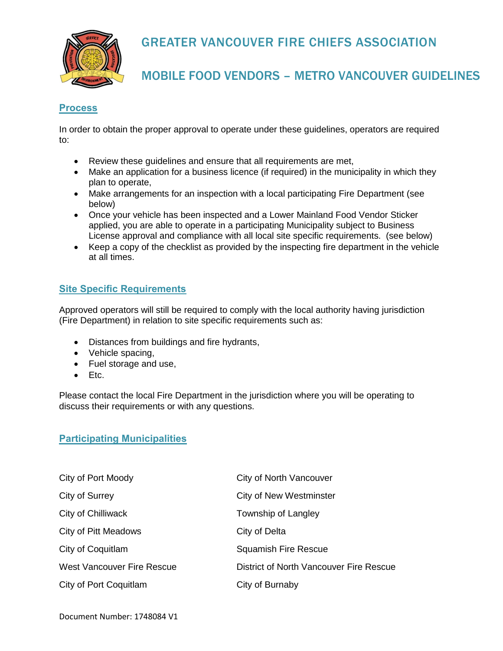# GREATER VANCOUVER FIRE CHIEFS ASSOCIATION



### MOBILE FOOD VENDORS – METRO VANCOUVER GUIDELINES

### **Process**

In order to obtain the proper approval to operate under these guidelines, operators are required to:

- Review these guidelines and ensure that all requirements are met,
- Make an application for a business licence (if required) in the municipality in which they plan to operate,
- Make arrangements for an inspection with a local participating Fire Department (see below)
- Once your vehicle has been inspected and a Lower Mainland Food Vendor Sticker applied, you are able to operate in a participating Municipality subject to Business License approval and compliance with all local site specific requirements. (see below)
- Keep a copy of the checklist as provided by the inspecting fire department in the vehicle at all times.

### **Site Specific Requirements**

Approved operators will still be required to comply with the local authority having jurisdiction (Fire Department) in relation to site specific requirements such as:

- Distances from buildings and fire hydrants,
- Vehicle spacing,
- Fuel storage and use,
- Etc.

Please contact the local Fire Department in the jurisdiction where you will be operating to discuss their requirements or with any questions.

#### **Participating Municipalities**

| City of Port Moody                | <b>City of North Vancouver</b>          |
|-----------------------------------|-----------------------------------------|
| City of Surrey                    | <b>City of New Westminster</b>          |
| City of Chilliwack                | Township of Langley                     |
| City of Pitt Meadows              | City of Delta                           |
| City of Coquitlam                 | <b>Squamish Fire Rescue</b>             |
| <b>West Vancouver Fire Rescue</b> | District of North Vancouver Fire Rescue |
| City of Port Coquitlam            | City of Burnaby                         |